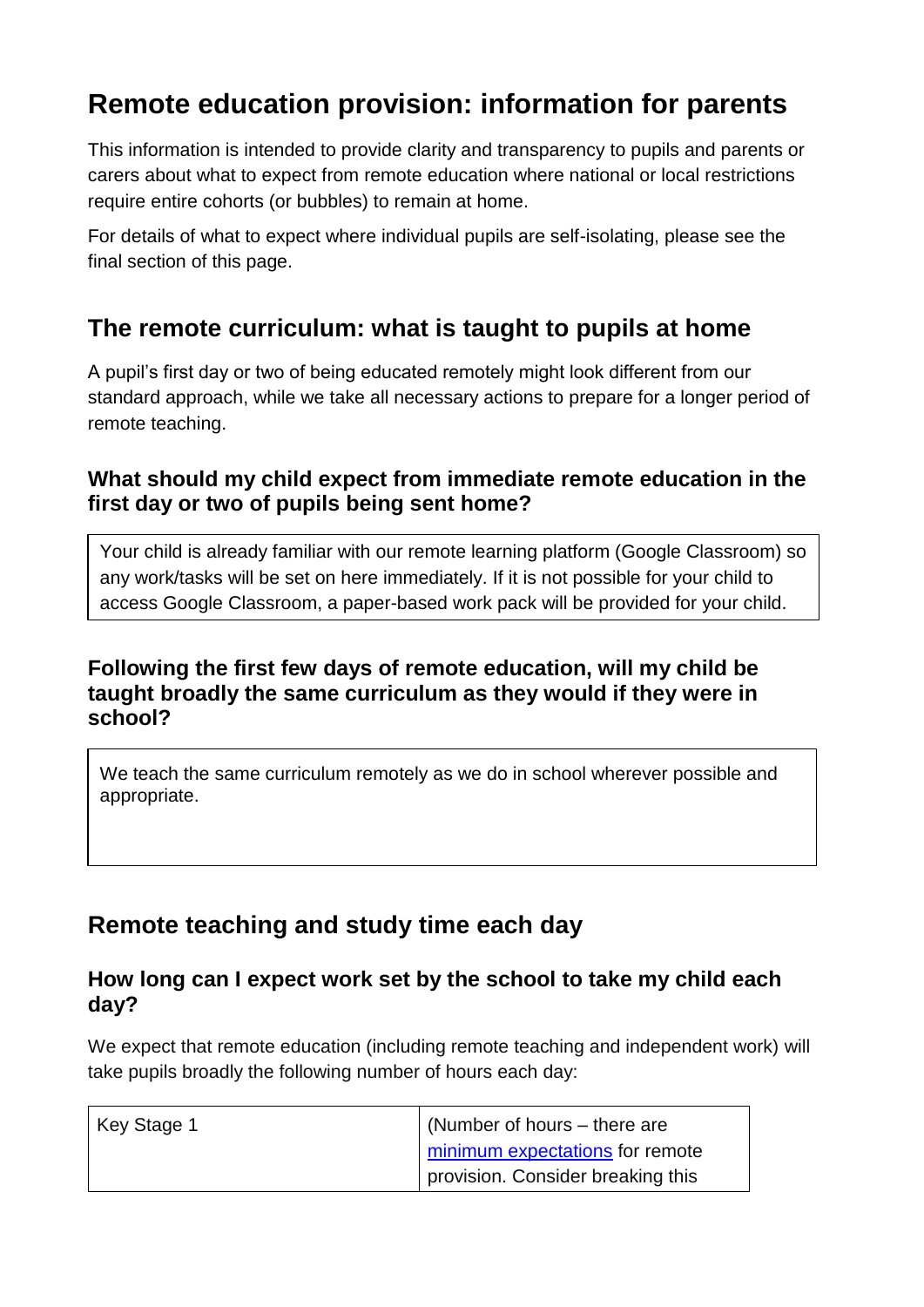# **Remote education provision: information for parents**

This information is intended to provide clarity and transparency to pupils and parents or carers about what to expect from remote education where national or local restrictions require entire cohorts (or bubbles) to remain at home.

For details of what to expect where individual pupils are self-isolating, please see the final section of this page.

# **The remote curriculum: what is taught to pupils at home**

A pupil's first day or two of being educated remotely might look different from our standard approach, while we take all necessary actions to prepare for a longer period of remote teaching.

## **What should my child expect from immediate remote education in the first day or two of pupils being sent home?**

Your child is already familiar with our remote learning platform (Google Classroom) so any work/tasks will be set on here immediately. If it is not possible for your child to access Google Classroom, a paper-based work pack will be provided for your child.

## **Following the first few days of remote education, will my child be taught broadly the same curriculum as they would if they were in school?**

We teach the same curriculum remotely as we do in school wherever possible and appropriate.

# **Remote teaching and study time each day**

## **How long can I expect work set by the school to take my child each day?**

We expect that remote education (including remote teaching and independent work) will take pupils broadly the following number of hours each day:

| Key Stage 1 | (Number of hours – there are      |
|-------------|-----------------------------------|
|             | minimum expectations for remote   |
|             | provision. Consider breaking this |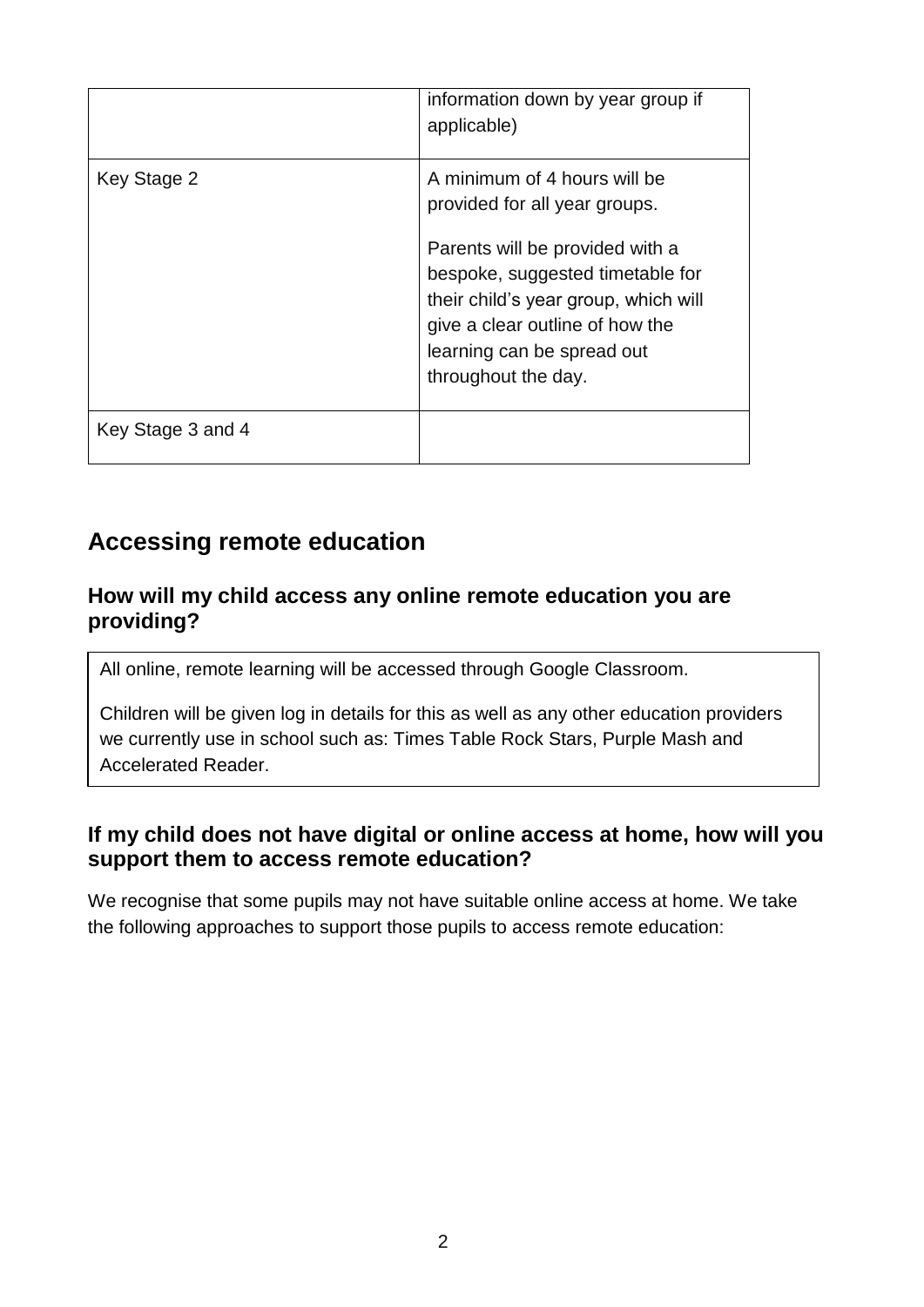|                   | information down by year group if<br>applicable)                                                                                                                                                    |
|-------------------|-----------------------------------------------------------------------------------------------------------------------------------------------------------------------------------------------------|
| Key Stage 2       | A minimum of 4 hours will be<br>provided for all year groups.                                                                                                                                       |
|                   | Parents will be provided with a<br>bespoke, suggested timetable for<br>their child's year group, which will<br>give a clear outline of how the<br>learning can be spread out<br>throughout the day. |
| Key Stage 3 and 4 |                                                                                                                                                                                                     |

# **Accessing remote education**

#### **How will my child access any online remote education you are providing?**

All online, remote learning will be accessed through Google Classroom.

Children will be given log in details for this as well as any other education providers we currently use in school such as: Times Table Rock Stars, Purple Mash and Accelerated Reader.

## **If my child does not have digital or online access at home, how will you support them to access remote education?**

We recognise that some pupils may not have suitable online access at home. We take the following approaches to support those pupils to access remote education: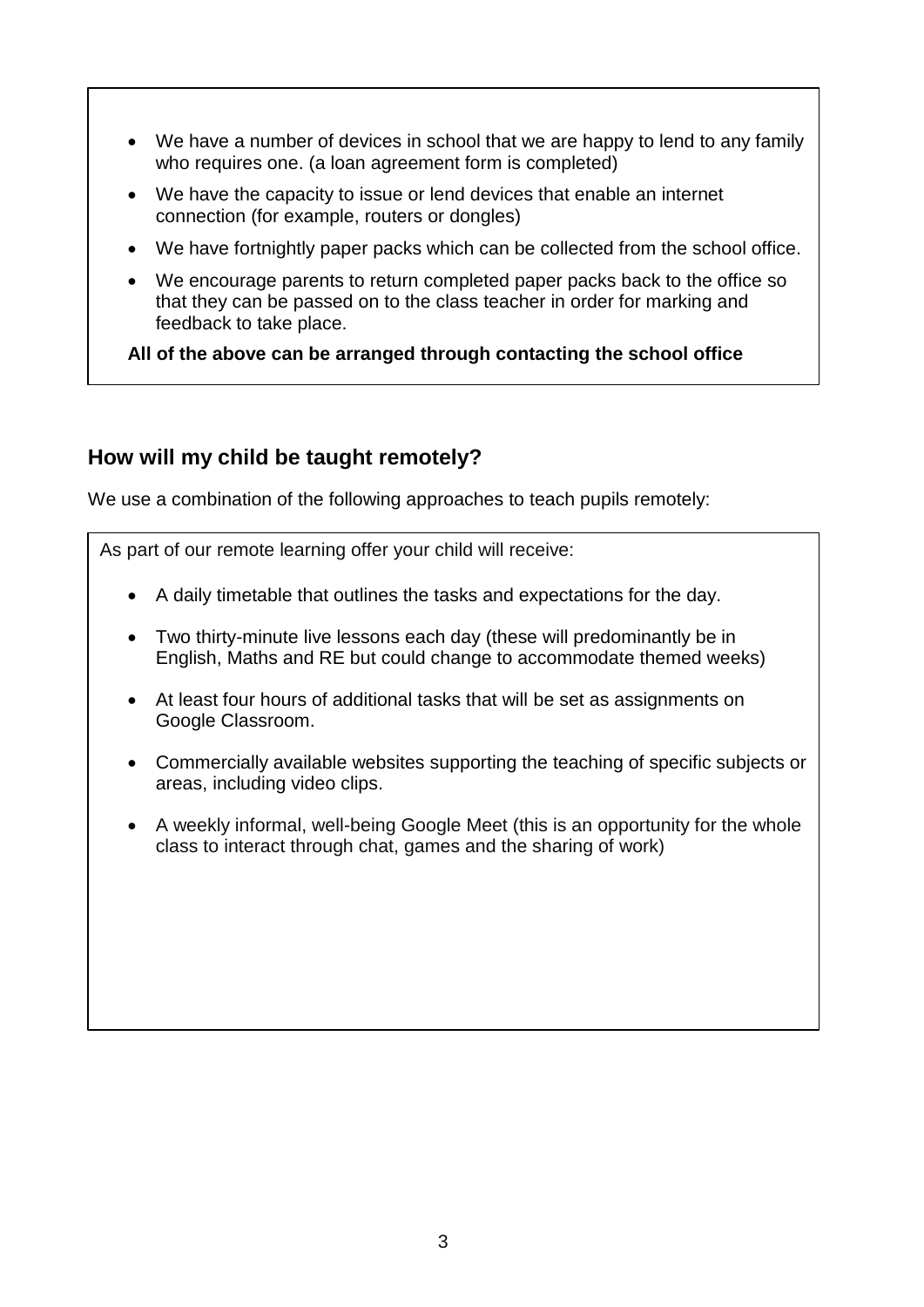- We have a number of devices in school that we are happy to lend to any family who requires one. (a loan agreement form is completed)
- We have the capacity to issue or lend devices that enable an internet connection (for example, routers or dongles)
- We have fortnightly paper packs which can be collected from the school office.
- We encourage parents to return completed paper packs back to the office so that they can be passed on to the class teacher in order for marking and feedback to take place.

**All of the above can be arranged through contacting the school office** 

## **How will my child be taught remotely?**

We use a combination of the following approaches to teach pupils remotely:

As part of our remote learning offer your child will receive:

- A daily timetable that outlines the tasks and expectations for the day.
- Two thirty-minute live lessons each day (these will predominantly be in English, Maths and RE but could change to accommodate themed weeks)
- At least four hours of additional tasks that will be set as assignments on Google Classroom.
- Commercially available websites supporting the teaching of specific subjects or areas, including video clips.
- A weekly informal, well-being Google Meet (this is an opportunity for the whole class to interact through chat, games and the sharing of work)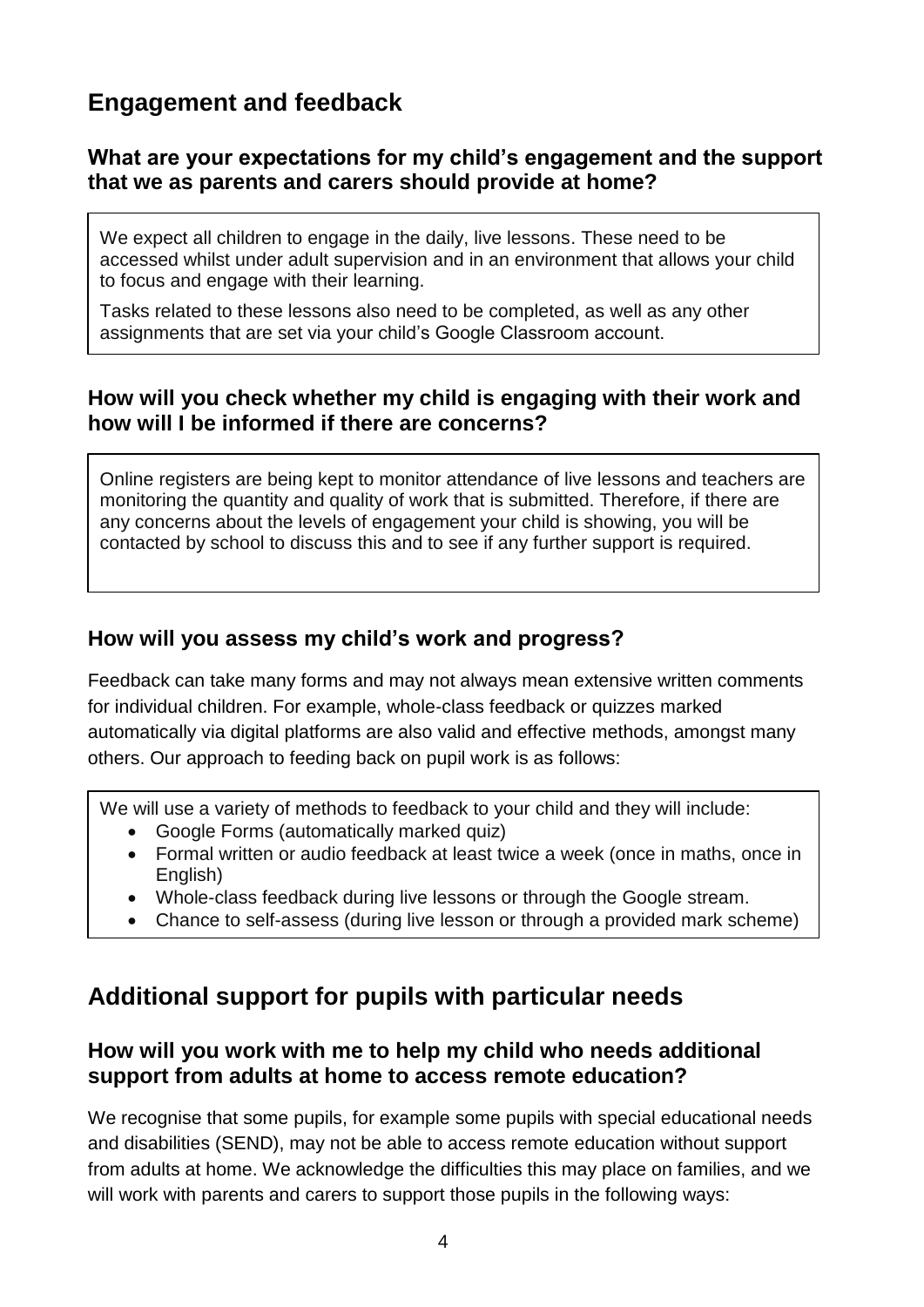# **Engagement and feedback**

## **What are your expectations for my child's engagement and the support that we as parents and carers should provide at home?**

We expect all children to engage in the daily, live lessons. These need to be accessed whilst under adult supervision and in an environment that allows your child to focus and engage with their learning.

Tasks related to these lessons also need to be completed, as well as any other assignments that are set via your child's Google Classroom account.

## **How will you check whether my child is engaging with their work and how will I be informed if there are concerns?**

Online registers are being kept to monitor attendance of live lessons and teachers are monitoring the quantity and quality of work that is submitted. Therefore, if there are any concerns about the levels of engagement your child is showing, you will be contacted by school to discuss this and to see if any further support is required.

## **How will you assess my child's work and progress?**

Feedback can take many forms and may not always mean extensive written comments for individual children. For example, whole-class feedback or quizzes marked automatically via digital platforms are also valid and effective methods, amongst many others. Our approach to feeding back on pupil work is as follows:

We will use a variety of methods to feedback to your child and they will include:

- Google Forms (automatically marked quiz)
- Formal written or audio feedback at least twice a week (once in maths, once in English)
- Whole-class feedback during live lessons or through the Google stream.
- Chance to self-assess (during live lesson or through a provided mark scheme)

# **Additional support for pupils with particular needs**

## **How will you work with me to help my child who needs additional support from adults at home to access remote education?**

We recognise that some pupils, for example some pupils with special educational needs and disabilities (SEND), may not be able to access remote education without support from adults at home. We acknowledge the difficulties this may place on families, and we will work with parents and carers to support those pupils in the following ways: